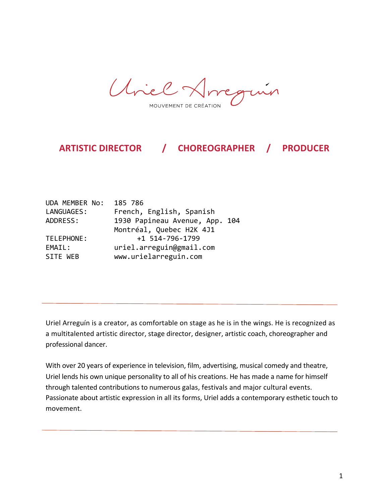Uniel Arregión MOUVEMENT DE CRÉATION

ARTISTIC DIRECTOR / CHOREOGRAPHER / PRODUCER

| 185 786                        |
|--------------------------------|
| French, English, Spanish       |
| 1930 Papineau Avenue, App. 104 |
| Montréal, Quebec H2K 4J1       |
| +1 514-796-1799                |
| uriel.arreguin@gmail.com       |
| www.urielarreguin.com          |
|                                |

Uriel Arreguín is a creator, as comfortable on stage as he is in the wings. He is recognized as a multitalented artistic director, stage director, designer, artistic coach, choreographer and professional dancer.

With over 20 years of experience in television, film, advertising, musical comedy and theatre, Uriel lends his own unique personality to all of his creations. He has made a name for himself through talented contributions to numerous galas, festivals and major cultural events. Passionate about artistic expression in all its forms, Uriel adds a contemporary esthetic touch to movement.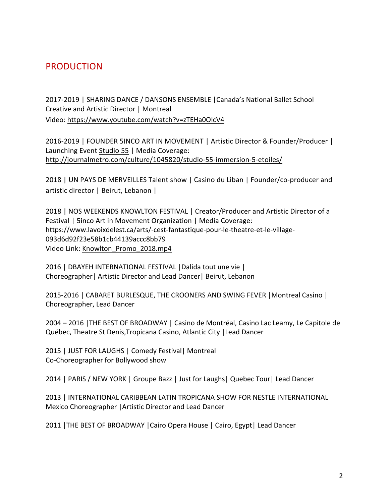# PRODUCTION

2017-2019 | SHARING DANCE / DANSONS ENSEMBLE | Canada's National Ballet School Creative and Artistic Director | Montreal Video: https://www.youtube.com/watch?v=zTEHa0OIcV4

2016-2019 | FOUNDER 5INCO ART IN MOVEMENT | Artistic Director & Founder/Producer | Launching Event Studio 55 | Media Coverage: http://journalmetro.com/culture/1045820/studio-55-immersion-5-etoiles/

2018 | UN PAYS DE MERVEILLES Talent show | Casino du Liban | Founder/co-producer and artistic director | Beirut, Lebanon |

2018 | NOS WEEKENDS KNOWLTON FESTIVAL | Creator/Producer and Artistic Director of a Festival | 5inco Art in Movement Organization | Media Coverage: https://www.lavoixdelest.ca/arts/-cest-fantastique-pour-le-theatre-et-le-village-093d6d92f23e58b1cb44139accc8bb79 Video Link: Knowlton Promo 2018.mp4

2016 | DBAYEH INTERNATIONAL FESTIVAL | Dalida tout une vie | Choreographer | Artistic Director and Lead Dancer | Beirut, Lebanon

2015-2016 | CABARET BURLESQUE, THE CROONERS AND SWING FEVER | Montreal Casino | Choreographer, Lead Dancer

2004 – 2016 | THE BEST OF BROADWAY | Casino de Montréal, Casino Lac Leamy, Le Capitole de Québec, Theatre St Denis, Tropicana Casino, Atlantic City | Lead Dancer

2015 | JUST FOR LAUGHS | Comedy Festival | Montreal Co-Choreographer for Bollywood show

2014 | PARIS / NEW YORK | Groupe Bazz | Just for Laughs | Quebec Tour | Lead Dancer

2013 | INTERNATIONAL CARIBBEAN LATIN TROPICANA SHOW FOR NESTLE INTERNATIONAL Mexico Choreographer | Artistic Director and Lead Dancer

2011 | THE BEST OF BROADWAY | Cairo Opera House | Cairo, Egypt | Lead Dancer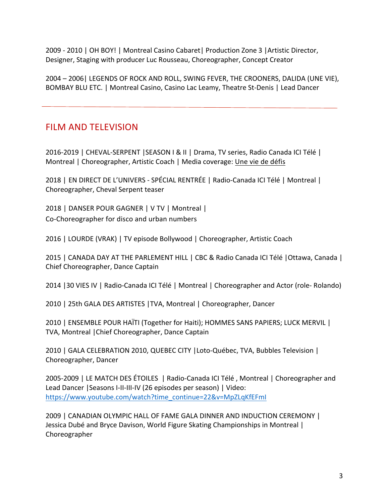2009 - 2010 | OH BOY! | Montreal Casino Cabaret | Production Zone 3 | Artistic Director, Designer, Staging with producer Luc Rousseau, Choreographer, Concept Creator

2004 - 2006 | LEGENDS OF ROCK AND ROLL, SWING FEVER, THE CROONERS, DALIDA (UNE VIE), BOMBAY BLU ETC. | Montreal Casino, Casino Lac Leamy, Theatre St-Denis | Lead Dancer

## FILM AND TELEVISION

2016-2019 | CHEVAL-SERPENT | SEASON I & II | Drama, TV series, Radio Canada ICI Télé | Montreal | Choreographer, Artistic Coach | Media coverage: Une vie de défis

2018 | EN DIRECT DE L'UNIVERS - SPÉCIAL RENTRÉE | Radio-Canada ICI Télé | Montreal | Choreographer, Cheval Serpent teaser

2018 | DANSER POUR GAGNER | V TV | Montreal | Co-Choreographer for disco and urban numbers

2016 | LOURDE (VRAK) | TV episode Bollywood | Choreographer, Artistic Coach

2015 | CANADA DAY AT THE PARLEMENT HILL | CBC & Radio Canada ICI Télé | Ottawa, Canada | Chief Choreographer, Dance Captain

2014 | 30 VIES IV | Radio-Canada ICI Télé | Montreal | Choreographer and Actor (role- Rolando)

2010 | 25th GALA DES ARTISTES | TVA, Montreal | Choreographer, Dancer

2010 | ENSEMBLE POUR HAÏTI (Together for Haiti); HOMMES SANS PAPIERS; LUCK MERVIL | TVA, Montreal | Chief Choreographer, Dance Captain

2010 | GALA CELEBRATION 2010, QUEBEC CITY | Loto-Québec, TVA, Bubbles Television | Choreographer, Dancer

2005-2009 | LE MATCH DES ÉTOILES | Radio-Canada ICI Télé, Montreal | Choreographer and Lead Dancer | Seasons I-II-III-IV (26 episodes per season) | Video: https://www.youtube.com/watch?time\_continue=22&v=MpZLqKfEFmI

2009 | CANADIAN OLYMPIC HALL OF FAME GALA DINNER AND INDUCTION CEREMONY | Jessica Dubé and Bryce Davison, World Figure Skating Championships in Montreal | Choreographer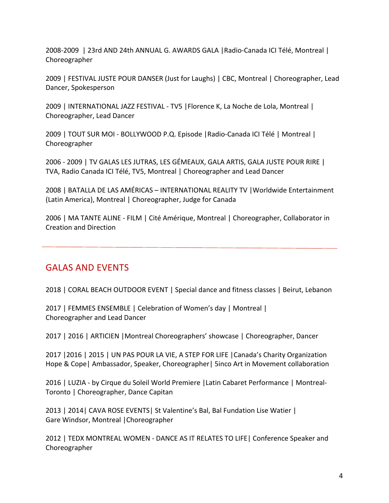2008-2009 | 23rd AND 24th ANNUAL G. AWARDS GALA | Radio-Canada ICI Télé, Montreal | Choreographer

2009 | FESTIVAL JUSTE POUR DANSER (Just for Laughs) | CBC, Montreal | Choreographer, Lead Dancer, Spokesperson

2009 | INTERNATIONAL JAZZ FESTIVAL - TV5 | Florence K, La Noche de Lola, Montreal | Choreographer, Lead Dancer

2009 | TOUT SUR MOI - BOLLYWOOD P.Q. Episode | Radio-Canada ICI Télé | Montreal | Choreographer

2006 - 2009 | TV GALAS LES JUTRAS, LES GÉMEAUX, GALA ARTIS, GALA JUSTE POUR RIRE | TVA, Radio Canada ICI Télé, TV5, Montreal | Choreographer and Lead Dancer

2008 | BATALLA DE LAS AMÉRICAS - INTERNATIONAL REALITY TV | Worldwide Entertainment (Latin America), Montreal | Choreographer, Judge for Canada

2006 | MA TANTE ALINE - FILM | Cité Amérique, Montreal | Choreographer, Collaborator in Creation and Direction

## **GALAS AND EVENTS**

2018 | CORAL BEACH OUTDOOR EVENT | Special dance and fitness classes | Beirut, Lebanon

2017 | FEMMES ENSEMBLE | Celebration of Women's day | Montreal | Choreographer and Lead Dancer

2017 | 2016 | ARTICIEN | Montreal Choreographers' showcase | Choreographer, Dancer

2017 | 2016 | 2015 | UN PAS POUR LA VIE, A STEP FOR LIFE | Canada's Charity Organization Hope & Cope | Ambassador, Speaker, Choreographer | 5inco Art in Movement collaboration

2016 | LUZIA - by Cirque du Soleil World Premiere | Latin Cabaret Performance | Montreal-Toronto | Choreographer, Dance Capitan

2013 | 2014 | CAVA ROSE EVENTS | St Valentine's Bal, Bal Fundation Lise Watier | Gare Windsor, Montreal | Choreographer

2012 | TEDX MONTREAL WOMEN - DANCE AS IT RELATES TO LIFE | Conference Speaker and Choreographer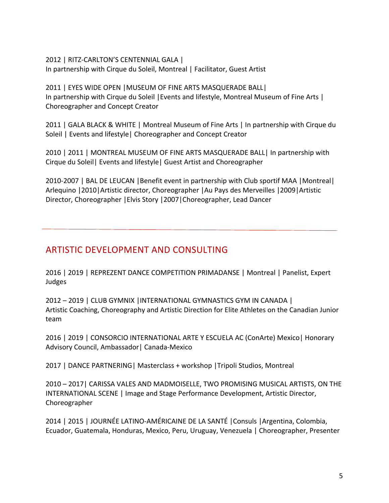#### 2012 | RITZ-CARLTON'S CENTENNIAL GALA |

In partnership with Cirque du Soleil, Montreal | Facilitator, Guest Artist

### 2011 | EYES WIDE OPEN | MUSEUM OF FINE ARTS MASQUERADE BALL| In partnership with Cirque du Soleil | Events and lifestyle, Montreal Museum of Fine Arts | Choreographer and Concept Creator

2011 | GALA BLACK & WHITE | Montreal Museum of Fine Arts | In partnership with Cirque du Soleil | Events and lifestyle | Choreographer and Concept Creator

2010 | 2011 | MONTREAL MUSEUM OF FINE ARTS MASQUERADE BALL | In partnership with Cirque du Soleil| Events and lifestyle| Guest Artist and Choreographer

2010-2007 | BAL DE LEUCAN | Benefit event in partnership with Club sportif MAA | Montreal | Arlequino | 2010 | Artistic director, Choreographer | Au Pays des Merveilles | 2009 | Artistic Director, Choreographer | Elvis Story | 2007 | Choreographer, Lead Dancer

# ARTISTIC DEVELOPMENT AND CONSULTING

2016 | 2019 | REPREZENT DANCE COMPETITION PRIMADANSE | Montreal | Panelist, Expert Judges

2012 – 2019 | CLUB GYMNIX |INTERNATIONAL GYMNASTICS GYM IN CANADA | Artistic Coaching, Choreography and Artistic Direction for Elite Athletes on the Canadian Junior team

2016 | 2019 | CONSORCIO INTERNATIONAL ARTE Y ESCUELA AC (ConArte) Mexico | Honorary Advisory Council, Ambassador | Canada-Mexico

2017 | DANCE PARTNERING | Masterclass + workshop | Tripoli Studios, Montreal

2010 - 2017 | CARISSA VALES AND MADMOISELLE, TWO PROMISING MUSICAL ARTISTS, ON THE INTERNATIONAL SCENE | Image and Stage Performance Development, Artistic Director, Choreographer

2014 | 2015 | JOURNÉE LATINO-AMÉRICAINE DE LA SANTÉ | Consuls | Argentina, Colombia, Ecuador, Guatemala, Honduras, Mexico, Peru, Uruguay, Venezuela | Choreographer, Presenter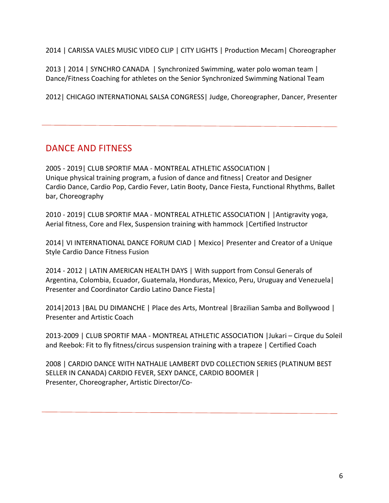2014 | CARISSA VALES MUSIC VIDEO CLIP | CITY LIGHTS | Production Mecam | Choreographer

2013 | 2014 | SYNCHRO CANADA | Synchronized Swimming, water polo woman team | Dance/Fitness Coaching for athletes on the Senior Synchronized Swimming National Team

2012 | CHICAGO INTERNATIONAL SALSA CONGRESS | Judge, Choreographer, Dancer, Presenter

## DANCE AND FITNESS

2005 - 2019 | CLUB SPORTIF MAA - MONTREAL ATHLETIC ASSOCIATION | Unique physical training program, a fusion of dance and fitness | Creator and Designer Cardio Dance, Cardio Pop, Cardio Fever, Latin Booty, Dance Fiesta, Functional Rhythms, Ballet bar, Choreography

2010 - 2019 | CLUB SPORTIF MAA - MONTREAL ATHLETIC ASSOCIATION | | Antigravity yoga, Aerial fitness, Core and Flex, Suspension training with hammock | Certified Instructor

2014 | VI INTERNATIONAL DANCE FORUM CIAD | Mexico | Presenter and Creator of a Unique Style Cardio Dance Fitness Fusion

2014 - 2012 | LATIN AMERICAN HEALTH DAYS | With support from Consul Generals of Argentina, Colombia, Ecuador, Guatemala, Honduras, Mexico, Peru, Uruguay and Venezuela | Presenter and Coordinator Cardio Latino Dance Fiesta

2014|2013 | BAL DU DIMANCHE | Place des Arts, Montreal | Brazilian Samba and Bollywood | Presenter and Artistic Coach

2013-2009 | CLUB SPORTIF MAA - MONTREAL ATHLETIC ASSOCIATION |Jukari – Cirque du Soleil and Reebok: Fit to fly fitness/circus suspension training with a trapeze | Certified Coach

2008 | CARDIO DANCE WITH NATHALIE LAMBERT DVD COLLECTION SERIES (PLATINUM BEST SELLER IN CANADA) CARDIO FEVER, SEXY DANCE, CARDIO BOOMER | Presenter, Choreographer, Artistic Director/Co-